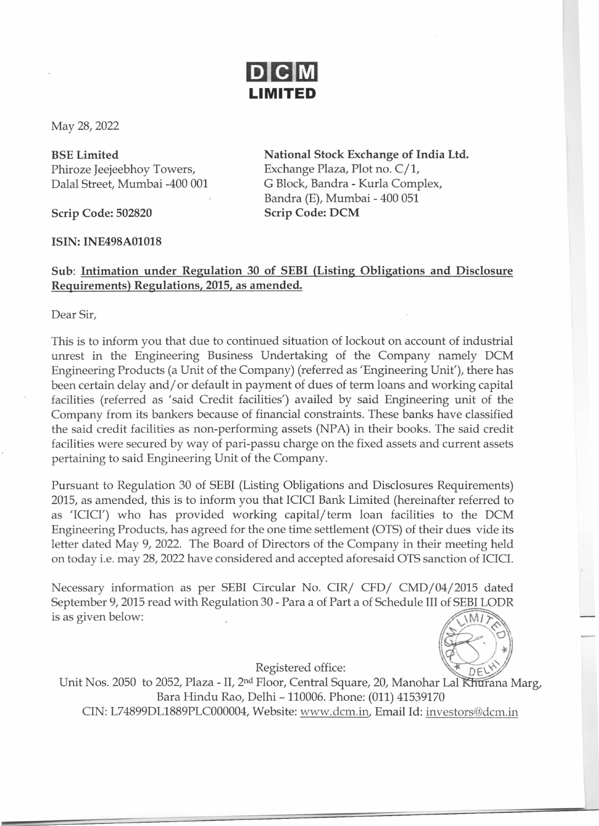

May 28, 2022

BSE Limited Phiroze Jeejeebhoy Towers, Dalal Street, Mumbai -400 001

Scrip Code: 502820

ISIN: INE498AOI018

National Stock Exchange of India Ltd. Exchange Plaza, Plot no. C/1, G Block, Bandra - Kurla Complex, Bandra (E), Mumbai - 400 051 Scrip Code: DCM

## Sub: Intimation under Regulation 30 of SEBI (Listing Obligations and Disclosure Requirements) Regulations, 2015, as amended.

Dear Sir,

This is to inform you that due to continued situation of lockout on account of industrial unrest in the Engineering Business Undertaking of the Company namely DCM Engineering Products (a Unit of the Company) (referred as 'Engineering Unit'), there has been certain delay and/ or default in payment of dues of term loans and working capital facilities (referred as 'said Credit facilities') availed by said Engineering unit of the Company from its bankers because of financial constraints. These banks have classified the said credit facilities as non-performing assets (NPA) in their books. The said credit facilities were secured by way of pari-passu charge on the fixed assets and current assets pertaining to said Engineering Unit of the Company.

Pursuant to Regulation 30 of SEBI (Listing Obligations and Disclosures Requirements) 2015, as amended, this is to inform you that ICICI Bank Limited (hereinafter referred to as 'ICICI') who has provided working capital/term loan facilities to the DCM Engineering Products, has agreed for the one time settlement (OTS) of their dues vide its letter dated May 9, 2022. The Board of Directors of the Company in their meeting held on today i.e. may 28, 2022 have considered and accepted aforesaid OTS sanction of ICICI.

Necessary information as per SEBI Circular No. CIR/ CFD/ CMD/04/2015 dated September 9, 2015 read with Regulation 30 - Para a of Part a of Schedule III of SEBI LODR is as given below:  $\mathbb{Z}[\mathbb{M}^2]$ 

Registered office:

:  $20$  $\left\langle \left\langle \cdot , \cdot \right\rangle \right\rangle _{*}$ 

Unit Nos. 2050 to 2052, Plaza - II, 2<sup>nd</sup> Floor, Central Square, 20, Manohar Lal Khurana Marg, Bara Hindu Rao, Delhi - 110006. Phone: (011) 41539170 CIN: L74899DL1889PLC000004,Website: www.dcm.in, Email Id: investors@dcm.in